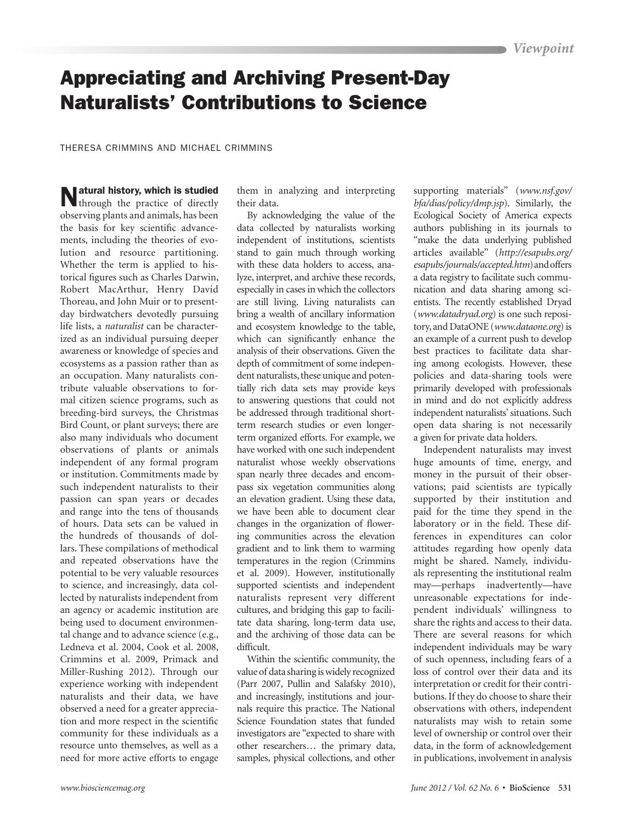## Appreciating and Archiving Present-Day Naturalists' Contributions to Science

Theresa Crimmins and Michael Crimmins

Natural history, which is studied through the practice of directly observing plants and animals, has been the basis for key scientific advancements, including the theories of evolution and resource partitioning. Whether the term is applied to historical figures such as Charles Darwin, Robert MacArthur, Henry David Thoreau, and John Muir or to presentday birdwatchers devotedly pursuing life lists, a *naturalist* can be characterized as an individual pursuing deeper awareness or knowledge of species and ecosystems as a passion rather than as an occupation. Many naturalists contribute valuable observations to formal citizen science programs, such as breeding-bird surveys, the Christmas Bird Count, or plant surveys; there are also many individuals who document observations of plants or animals independent of any formal program or institution. Commitments made by such independent naturalists to their passion can span years or decades and range into the tens of thousands of hours. Data sets can be valued in the hundreds of thousands of dollars. These compilations of methodical and repeated observations have the potential to be very valuable resources to science, and increasingly, data collected by naturalists independent from an agency or academic institution are being used to document environmental change and to advance science (e.g., Ledneva et al. 2004, Cook et al. 2008, Crimmins et al. 2009, Primack and Miller-Rushing 2012). Through our experience working with independent naturalists and their data, we have observed a need for a greater appreciation and more respect in the scientific community for these individuals as a resource unto themselves, as well as a need for more active efforts to engage

them in analyzing and interpreting their data.

By acknowledging the value of the data collected by naturalists working independent of institutions, scientists stand to gain much through working with these data holders to access, analyze, interpret, and archive these records, especially in cases in which the collectors are still living. Living naturalists can bring a wealth of ancillary information and ecosystem knowledge to the table, which can significantly enhance the analysis of their observations. Given the depth of commitment of some independent naturalists, these unique and potentially rich data sets may provide keys to answering questions that could not be addressed through traditional shortterm research studies or even longerterm organized efforts. For example, we have worked with one such independent naturalist whose weekly observations span nearly three decades and encompass six vegetation communities along an elevation gradient. Using these data, we have been able to document clear changes in the organization of flowering communities across the elevation gradient and to link them to warming temperatures in the region (Crimmins et al. 2009). However, institutionally supported scientists and independent naturalists represent very different cultures, and bridging this gap to facilitate data sharing, long-term data use, and the archiving of those data can be difficult.

Within the scientific community, the value of data sharing is widely recognized (Parr 2007, Pullin and Salafsky 2010), and increasingly, institutions and journals require this practice. The National Science Foundation states that funded investigators are "expected to share with other researchers… the primary data, samples, physical collections, and other

supporting materials" (*www.nsf.gov/ bfa/dias/policy/dmp.jsp*). Similarly, the Ecological Society of America expects authors publishing in its journals to "make the data underlying published articles available" (*http://esapubs.org/ esapubs/journals/accepted.htm*) and offers a data registry to facilitate such communication and data sharing among scientists. The recently established Dryad (*www.datadryad.org*) is one such repository, and DataONE (*www.dataone.org*) is an example of a current push to develop best practices to facilitate data sharing among ecologists. However, these policies and data-sharing tools were primarily developed with professionals in mind and do not explicitly address independent naturalists' situations. Such open data sharing is not necessarily a given for private data holders.

Independent naturalists may invest huge amounts of time, energy, and money in the pursuit of their observations; paid scientists are typically supported by their institution and paid for the time they spend in the laboratory or in the field. These differences in expenditures can color attitudes regarding how openly data might be shared. Namely, individuals representing the institutional realm may—perhaps inadvertently—have unreasonable expectations for independent individuals' willingness to share the rights and access to their data. There are several reasons for which independent individuals may be wary of such openness, including fears of a loss of control over their data and its interpretation or credit for their contributions. If they do choose to share their observations with others, independent naturalists may wish to retain some level of ownership or control over their data, in the form of acknowledgement in publications, involvement in analysis